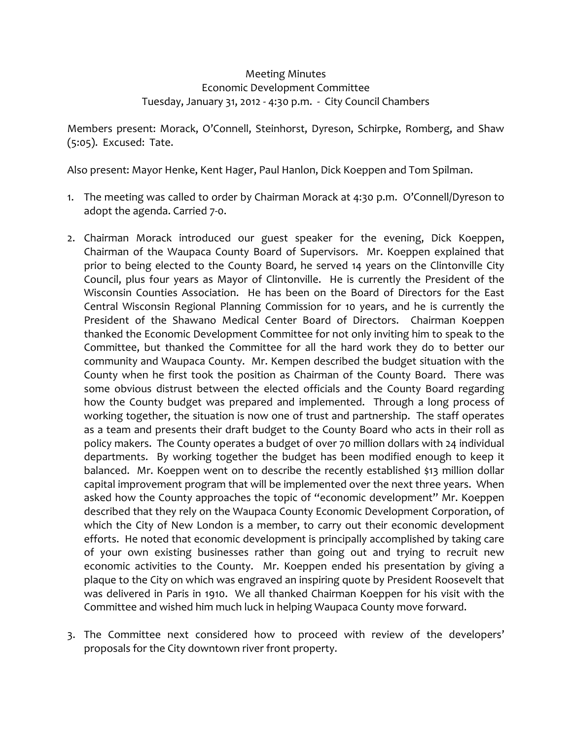## Meeting Minutes Economic Development Committee Tuesday, January 31, 2012 ‐ 4:30 p.m. ‐ City Council Chambers

Members present: Morack, O'Connell, Steinhorst, Dyreson, Schirpke, Romberg, and Shaw (5:05). Excused: Tate.

Also present: Mayor Henke, Kent Hager, Paul Hanlon, Dick Koeppen and Tom Spilman.

- 1. The meeting was called to order by Chairman Morack at 4:30 p.m. O'Connell/Dyreson to adopt the agenda. Carried 7‐0.
- 2. Chairman Morack introduced our guest speaker for the evening, Dick Koeppen, Chairman of the Waupaca County Board of Supervisors. Mr. Koeppen explained that prior to being elected to the County Board, he served 14 years on the Clintonville City Council, plus four years as Mayor of Clintonville. He is currently the President of the Wisconsin Counties Association. He has been on the Board of Directors for the East Central Wisconsin Regional Planning Commission for 10 years, and he is currently the President of the Shawano Medical Center Board of Directors. Chairman Koeppen thanked the Economic Development Committee for not only inviting him to speak to the Committee, but thanked the Committee for all the hard work they do to better our community and Waupaca County. Mr. Kempen described the budget situation with the County when he first took the position as Chairman of the County Board. There was some obvious distrust between the elected officials and the County Board regarding how the County budget was prepared and implemented. Through a long process of working together, the situation is now one of trust and partnership. The staff operates as a team and presents their draft budget to the County Board who acts in their roll as policy makers. The County operates a budget of over 70 million dollars with 24 individual departments. By working together the budget has been modified enough to keep it balanced. Mr. Koeppen went on to describe the recently established \$13 million dollar capital improvement program that will be implemented over the next three years. When asked how the County approaches the topic of "economic development" Mr. Koeppen described that they rely on the Waupaca County Economic Development Corporation, of which the City of New London is a member, to carry out their economic development efforts. He noted that economic development is principally accomplished by taking care of your own existing businesses rather than going out and trying to recruit new economic activities to the County. Mr. Koeppen ended his presentation by giving a plaque to the City on which was engraved an inspiring quote by President Roosevelt that was delivered in Paris in 1910. We all thanked Chairman Koeppen for his visit with the Committee and wished him much luck in helping Waupaca County move forward.
- 3. The Committee next considered how to proceed with review of the developers' proposals for the City downtown river front property.